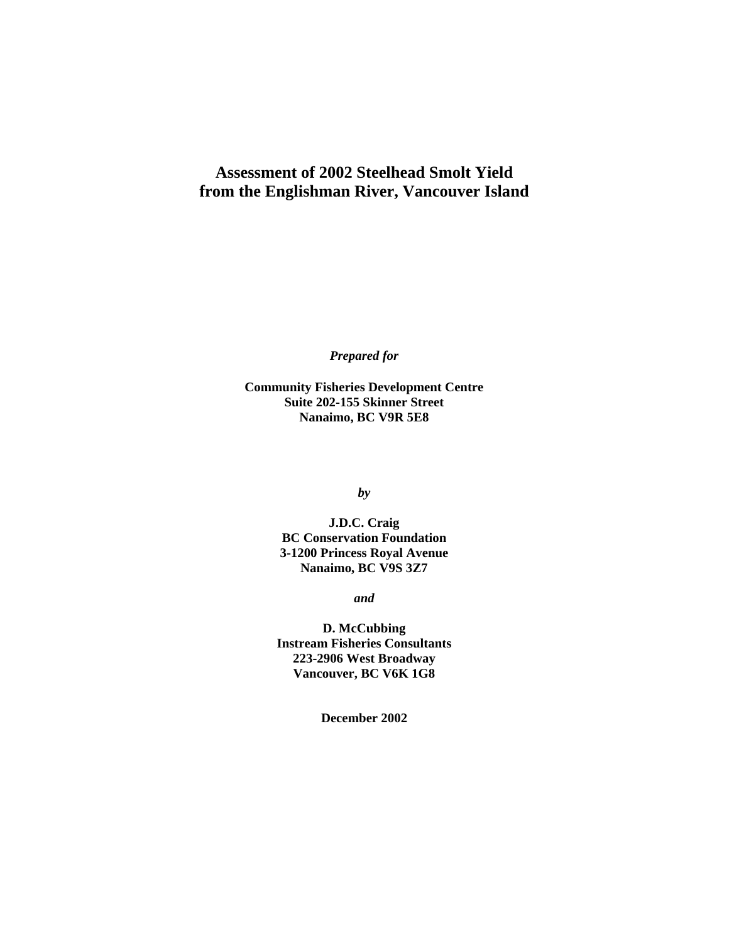### **Assessment of 2002 Steelhead Smolt Yield from the Englishman River, Vancouver Island**

*Prepared for*

**Community Fisheries Development Centre Suite 202-155 Skinner Street Nanaimo, BC V9R 5E8**

*by*

**J.D.C. Craig BC Conservation Foundation 3-1200 Princess Royal Avenue Nanaimo, BC V9S 3Z7**

*and* 

**D. McCubbing Instream Fisheries Consultants 223-2906 West Broadway Vancouver, BC V6K 1G8**

**December 2002**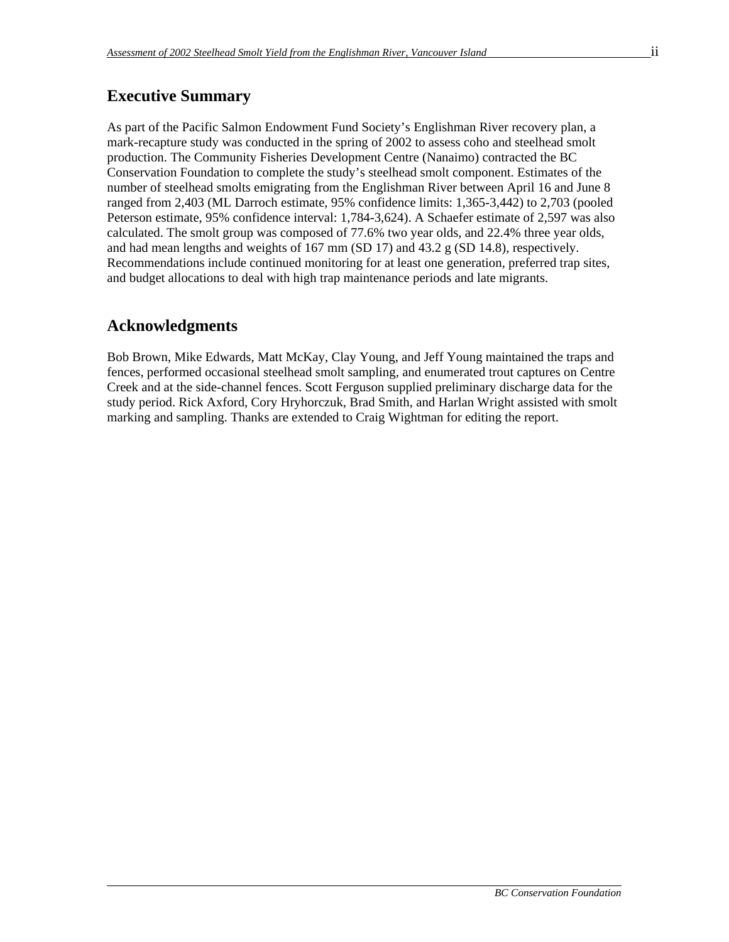### **Executive Summary**

As part of the Pacific Salmon Endowment Fund Society's Englishman River recovery plan, a mark-recapture study was conducted in the spring of 2002 to assess coho and steelhead smolt production. The Community Fisheries Development Centre (Nanaimo) contracted the BC Conservation Foundation to complete the study's steelhead smolt component. Estimates of the number of steelhead smolts emigrating from the Englishman River between April 16 and June 8 ranged from 2,403 (ML Darroch estimate, 95% confidence limits: 1,365-3,442) to 2,703 (pooled Peterson estimate, 95% confidence interval: 1,784-3,624). A Schaefer estimate of 2,597 was also calculated. The smolt group was composed of 77.6% two year olds, and 22.4% three year olds, and had mean lengths and weights of 167 mm (SD 17) and 43.2 g (SD 14.8), respectively. Recommendations include continued monitoring for at least one generation, preferred trap sites, and budget allocations to deal with high trap maintenance periods and late migrants.

### **Acknowledgments**

Bob Brown, Mike Edwards, Matt McKay, Clay Young, and Jeff Young maintained the traps and fences, performed occasional steelhead smolt sampling, and enumerated trout captures on Centre Creek and at the side-channel fences. Scott Ferguson supplied preliminary discharge data for the study period. Rick Axford, Cory Hryhorczuk, Brad Smith, and Harlan Wright assisted with smolt marking and sampling. Thanks are extended to Craig Wightman for editing the report.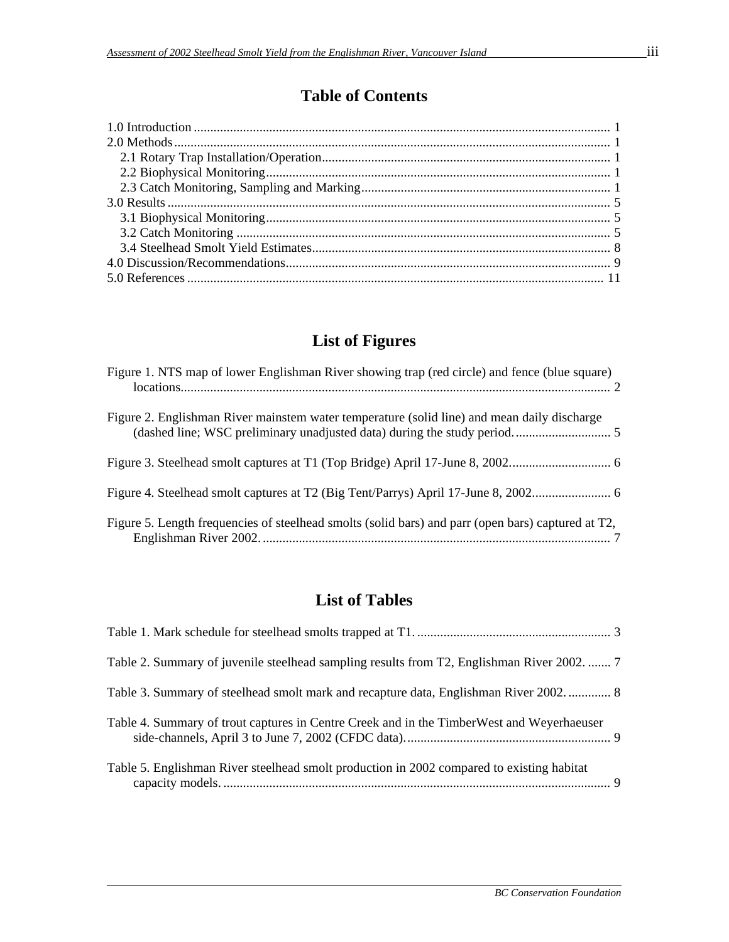## **Table of Contents**

# **List of Figures**

| Figure 1. NTS map of lower Englishman River showing trap (red circle) and fence (blue square)      |  |
|----------------------------------------------------------------------------------------------------|--|
| Figure 2. Englishman River mainstem water temperature (solid line) and mean daily discharge        |  |
|                                                                                                    |  |
|                                                                                                    |  |
| Figure 5. Length frequencies of steelhead smolts (solid bars) and parr (open bars) captured at T2, |  |

## **List of Tables**

| Table 2. Summary of juvenile steelhead sampling results from T2, Englishman River 2002.  7 |  |
|--------------------------------------------------------------------------------------------|--|
| Table 3. Summary of steelhead smolt mark and recapture data, Englishman River 2002 8       |  |
| Table 4. Summary of trout captures in Centre Creek and in the Timber West and Weyerhaeuser |  |
| Table 5. Englishman River steelhead smolt production in 2002 compared to existing habitat  |  |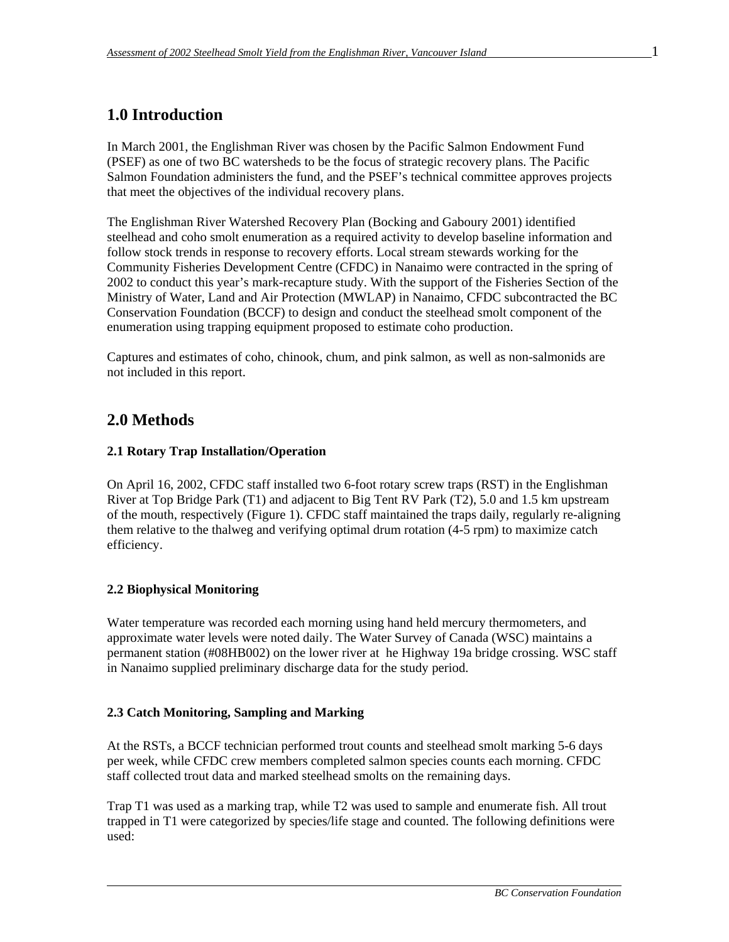## **1.0 Introduction**

In March 2001, the Englishman River was chosen by the Pacific Salmon Endowment Fund (PSEF) as one of two BC watersheds to be the focus of strategic recovery plans. The Pacific Salmon Foundation administers the fund, and the PSEF's technical committee approves projects that meet the objectives of the individual recovery plans.

The Englishman River Watershed Recovery Plan (Bocking and Gaboury 2001) identified steelhead and coho smolt enumeration as a required activity to develop baseline information and follow stock trends in response to recovery efforts. Local stream stewards working for the Community Fisheries Development Centre (CFDC) in Nanaimo were contracted in the spring of 2002 to conduct this year's mark-recapture study. With the support of the Fisheries Section of the Ministry of Water, Land and Air Protection (MWLAP) in Nanaimo, CFDC subcontracted the BC Conservation Foundation (BCCF) to design and conduct the steelhead smolt component of the enumeration using trapping equipment proposed to estimate coho production.

Captures and estimates of coho, chinook, chum, and pink salmon, as well as non-salmonids are not included in this report.

### **2.0 Methods**

#### **2.1 Rotary Trap Installation/Operation**

On April 16, 2002, CFDC staff installed two 6-foot rotary screw traps (RST) in the Englishman River at Top Bridge Park (T1) and adjacent to Big Tent RV Park (T2), 5.0 and 1.5 km upstream of the mouth, respectively (Figure 1). CFDC staff maintained the traps daily, regularly re-aligning them relative to the thalweg and verifying optimal drum rotation (4-5 rpm) to maximize catch efficiency.

### **2.2 Biophysical Monitoring**

Water temperature was recorded each morning using hand held mercury thermometers, and approximate water levels were noted daily. The Water Survey of Canada (WSC) maintains a permanent station (#08HB002) on the lower river at he Highway 19a bridge crossing. WSC staff in Nanaimo supplied preliminary discharge data for the study period.

#### **2.3 Catch Monitoring, Sampling and Marking**

At the RSTs, a BCCF technician performed trout counts and steelhead smolt marking 5-6 days per week, while CFDC crew members completed salmon species counts each morning. CFDC staff collected trout data and marked steelhead smolts on the remaining days.

Trap T1 was used as a marking trap, while T2 was used to sample and enumerate fish. All trout trapped in T1 were categorized by species/life stage and counted. The following definitions were used: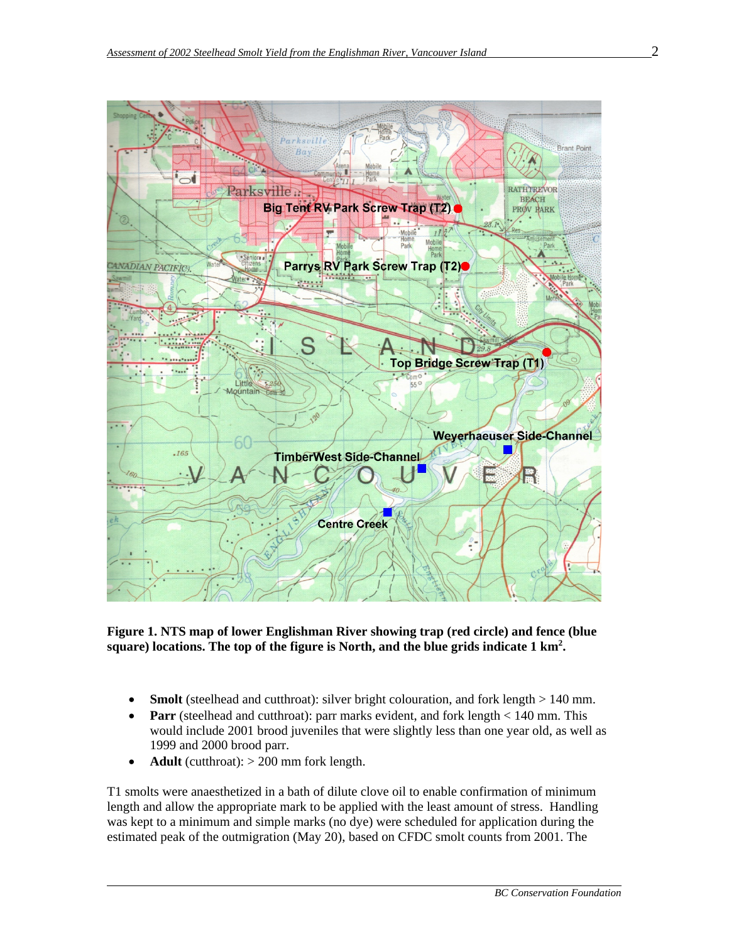

**Figure 1. NTS map of lower Englishman River showing trap (red circle) and fence (blue square) locations. The top of the figure is North, and the blue grids indicate 1 km2 .**

- **Smolt** (steelhead and cutthroat): silver bright colouration, and fork length > 140 mm.
- **Parr** (steelhead and cutthroat): parr marks evident, and fork length < 140 mm. This would include 2001 brood juveniles that were slightly less than one year old, as well as 1999 and 2000 brood parr.
- **Adult** (cutthroat):  $> 200$  mm fork length.

T1 smolts were anaesthetized in a bath of dilute clove oil to enable confirmation of minimum length and allow the appropriate mark to be applied with the least amount of stress. Handling was kept to a minimum and simple marks (no dye) were scheduled for application during the estimated peak of the outmigration (May 20), based on CFDC smolt counts from 2001. The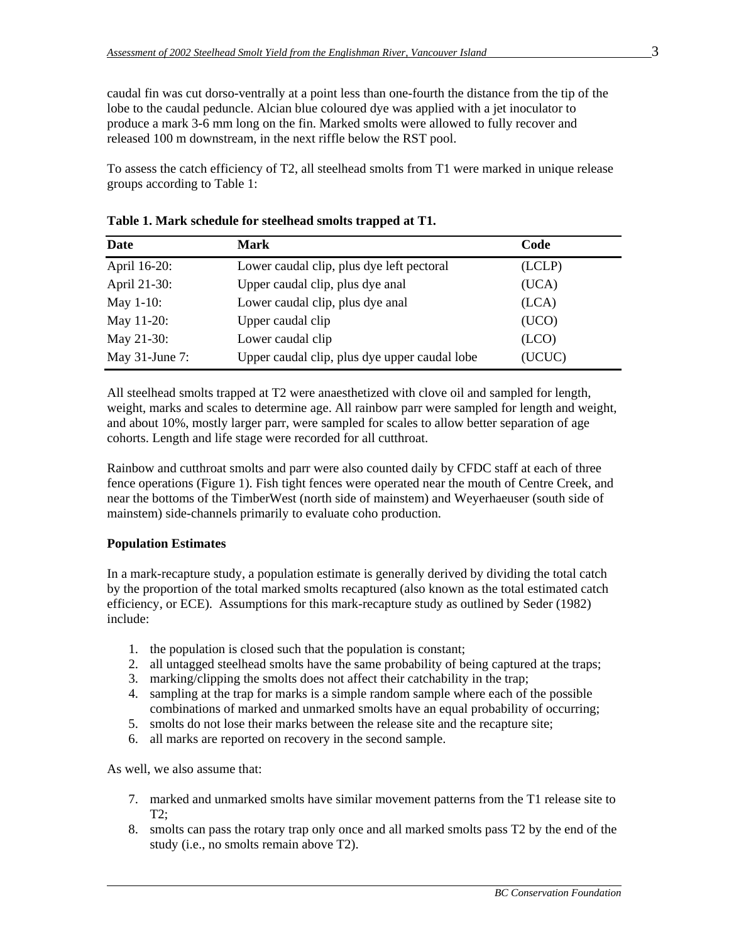caudal fin was cut dorso-ventrally at a point less than one-fourth the distance from the tip of the lobe to the caudal peduncle. Alcian blue coloured dye was applied with a jet inoculator to produce a mark 3-6 mm long on the fin. Marked smolts were allowed to fully recover and released 100 m downstream, in the next riffle below the RST pool.

To assess the catch efficiency of T2, all steelhead smolts from T1 were marked in unique release groups according to Table 1:

| Date              | Mark                                          | Code   |
|-------------------|-----------------------------------------------|--------|
| April 16-20:      | Lower caudal clip, plus dye left pectoral     | (LCLP) |
| April 21-30:      | Upper caudal clip, plus dye anal              | (UCA)  |
| May 1-10:         | Lower caudal clip, plus dye anal              | (LCA)  |
| May 11-20:        | Upper caudal clip                             | (UCO)  |
| May 21-30:        | Lower caudal clip                             | (LCD)  |
| May $31$ -June 7: | Upper caudal clip, plus dye upper caudal lobe | (UCUC) |

|  |  | Table 1. Mark schedule for steelhead smolts trapped at T1. |  |  |  |  |
|--|--|------------------------------------------------------------|--|--|--|--|
|--|--|------------------------------------------------------------|--|--|--|--|

All steelhead smolts trapped at T2 were anaesthetized with clove oil and sampled for length, weight, marks and scales to determine age. All rainbow parr were sampled for length and weight, and about 10%, mostly larger parr, were sampled for scales to allow better separation of age cohorts. Length and life stage were recorded for all cutthroat.

Rainbow and cutthroat smolts and parr were also counted daily by CFDC staff at each of three fence operations (Figure 1). Fish tight fences were operated near the mouth of Centre Creek, and near the bottoms of the TimberWest (north side of mainstem) and Weyerhaeuser (south side of mainstem) side-channels primarily to evaluate coho production.

#### **Population Estimates**

In a mark-recapture study, a population estimate is generally derived by dividing the total catch by the proportion of the total marked smolts recaptured (also known as the total estimated catch efficiency, or ECE). Assumptions for this mark-recapture study as outlined by Seder (1982) include:

- 1. the population is closed such that the population is constant;
- 2. all untagged steelhead smolts have the same probability of being captured at the traps;
- 3. marking/clipping the smolts does not affect their catchability in the trap;
- 4. sampling at the trap for marks is a simple random sample where each of the possible combinations of marked and unmarked smolts have an equal probability of occurring;
- 5. smolts do not lose their marks between the release site and the recapture site;
- 6. all marks are reported on recovery in the second sample.

As well, we also assume that:

- 7. marked and unmarked smolts have similar movement patterns from the T1 release site to T2;
- 8. smolts can pass the rotary trap only once and all marked smolts pass T2 by the end of the study (i.e., no smolts remain above T2).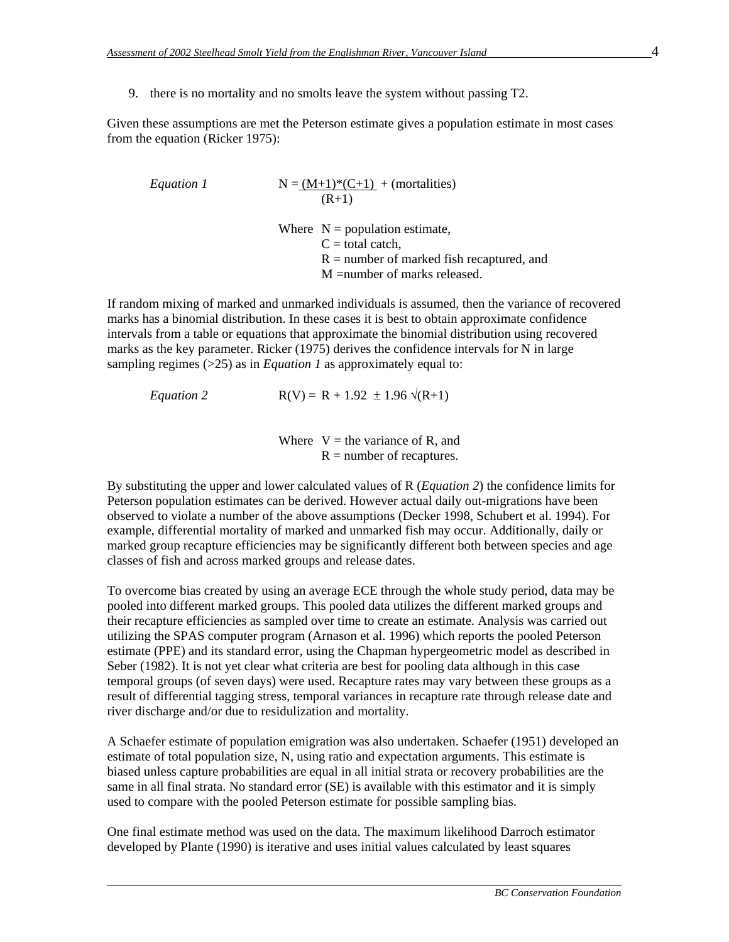9. there is no mortality and no smolts leave the system without passing T2.

Given these assumptions are met the Peterson estimate gives a population estimate in most cases from the equation (Ricker 1975):

*Equation 1*  

$$
N = (M+1)^*(C+1)
$$
 (mortalities)  
(R+1)

Where  $N =$  population estimate,  $C =$  total catch.  $R =$  number of marked fish recaptured, and M =number of marks released.

If random mixing of marked and unmarked individuals is assumed, then the variance of recovered marks has a binomial distribution. In these cases it is best to obtain approximate confidence intervals from a table or equations that approximate the binomial distribution using recovered marks as the key parameter. Ricker (1975) derives the confidence intervals for N in large sampling regimes (>25) as in *Equation 1* as approximately equal to:

*Equation 2*  $R(V) = R + 1.92 \pm 1.96 \sqrt{(R+1)}$ 

Where  $V =$  the variance of R, and  $R =$  number of recaptures.

By substituting the upper and lower calculated values of R (*Equation 2*) the confidence limits for Peterson population estimates can be derived. However actual daily out-migrations have been observed to violate a number of the above assumptions (Decker 1998, Schubert et al. 1994). For example, differential mortality of marked and unmarked fish may occur. Additionally, daily or marked group recapture efficiencies may be significantly different both between species and age classes of fish and across marked groups and release dates.

To overcome bias created by using an average ECE through the whole study period, data may be pooled into different marked groups. This pooled data utilizes the different marked groups and their recapture efficiencies as sampled over time to create an estimate. Analysis was carried out utilizing the SPAS computer program (Arnason et al. 1996) which reports the pooled Peterson estimate (PPE) and its standard error, using the Chapman hypergeometric model as described in Seber (1982). It is not yet clear what criteria are best for pooling data although in this case temporal groups (of seven days) were used. Recapture rates may vary between these groups as a result of differential tagging stress, temporal variances in recapture rate through release date and river discharge and/or due to residulization and mortality.

A Schaefer estimate of population emigration was also undertaken. Schaefer (1951) developed an estimate of total population size, N, using ratio and expectation arguments. This estimate is biased unless capture probabilities are equal in all initial strata or recovery probabilities are the same in all final strata. No standard error (SE) is available with this estimator and it is simply used to compare with the pooled Peterson estimate for possible sampling bias.

One final estimate method was used on the data. The maximum likelihood Darroch estimator developed by Plante (1990) is iterative and uses initial values calculated by least squares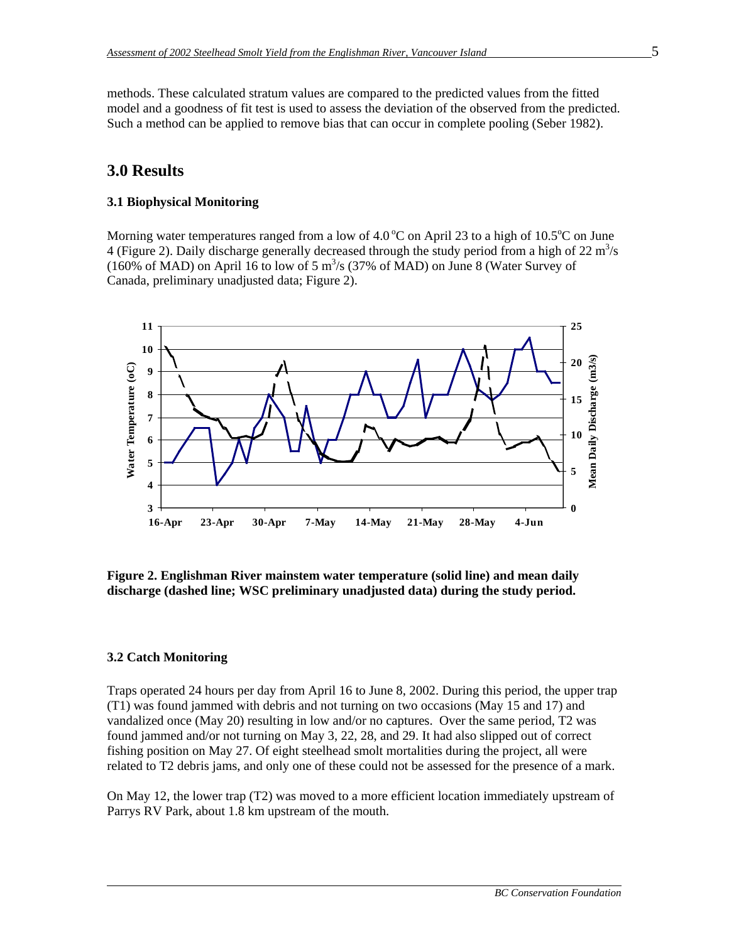methods. These calculated stratum values are compared to the predicted values from the fitted model and a goodness of fit test is used to assess the deviation of the observed from the predicted. Such a method can be applied to remove bias that can occur in complete pooling (Seber 1982).

### **3.0 Results**

#### **3.1 Biophysical Monitoring**

Morning water temperatures ranged from a low of  $4.0\,^{\circ}\text{C}$  on April 23 to a high of 10.5 $^{\circ}\text{C}$  on June 4 (Figure 2). Daily discharge generally decreased through the study period from a high of  $22 \text{ m}^3/\text{s}$ (160% of MAD) on April 16 to low of 5  $\text{m}^3$ /s (37% of MAD) on June 8 (Water Survey of Canada, preliminary unadjusted data; Figure 2).



**Figure 2. Englishman River mainstem water temperature (solid line) and mean daily discharge (dashed line; WSC preliminary unadjusted data) during the study period.**

#### **3.2 Catch Monitoring**

Traps operated 24 hours per day from April 16 to June 8, 2002. During this period, the upper trap (T1) was found jammed with debris and not turning on two occasions (May 15 and 17) and vandalized once (May 20) resulting in low and/or no captures. Over the same period, T2 was found jammed and/or not turning on May 3, 22, 28, and 29. It had also slipped out of correct fishing position on May 27. Of eight steelhead smolt mortalities during the project, all were related to T2 debris jams, and only one of these could not be assessed for the presence of a mark.

On May 12, the lower trap (T2) was moved to a more efficient location immediately upstream of Parrys RV Park, about 1.8 km upstream of the mouth.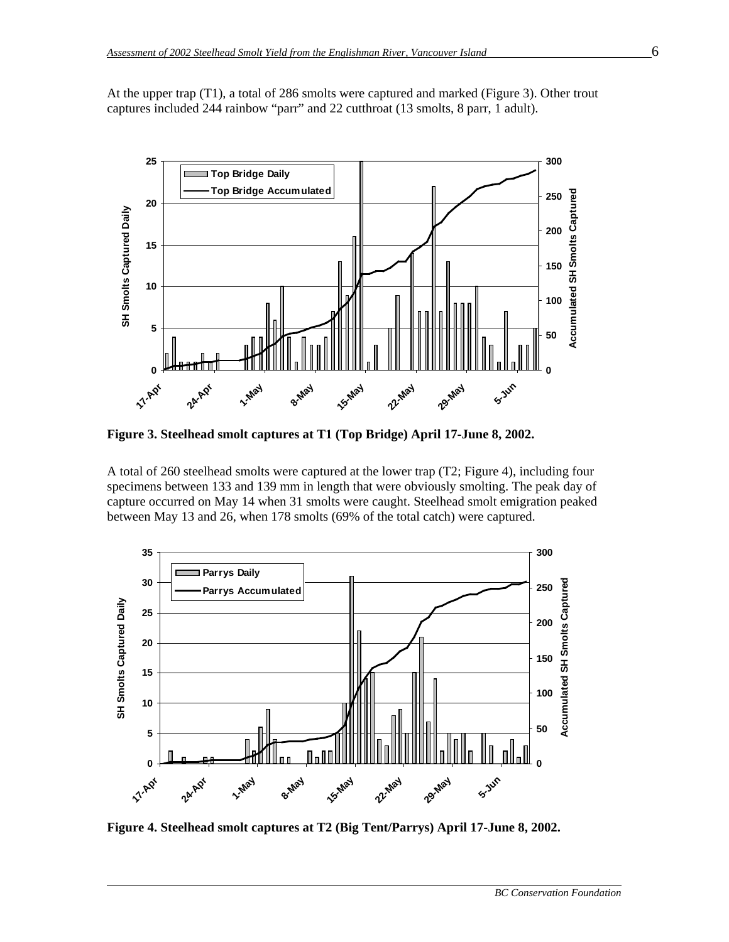At the upper trap (T1), a total of 286 smolts were captured and marked (Figure 3). Other trout captures included 244 rainbow "parr" and 22 cutthroat (13 smolts, 8 parr, 1 adult).



**Figure 3. Steelhead smolt captures at T1 (Top Bridge) April 17-June 8, 2002.**

A total of 260 steelhead smolts were captured at the lower trap (T2; Figure 4), including four specimens between 133 and 139 mm in length that were obviously smolting. The peak day of capture occurred on May 14 when 31 smolts were caught. Steelhead smolt emigration peaked between May 13 and 26, when 178 smolts (69% of the total catch) were captured.



**Figure 4. Steelhead smolt captures at T2 (Big Tent/Parrys) April 17-June 8, 2002.**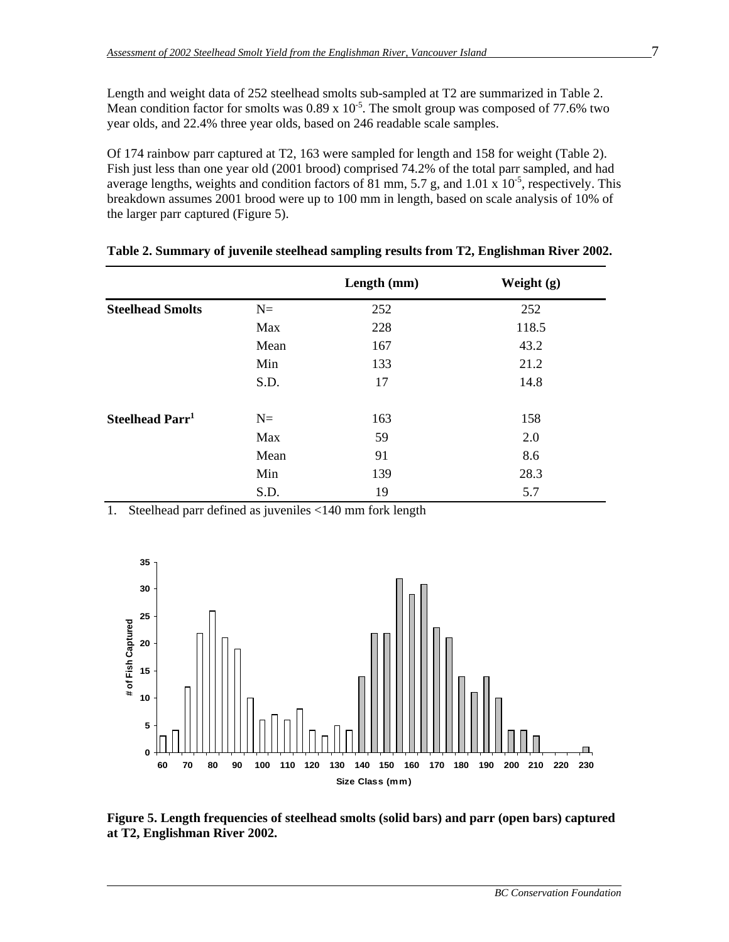Length and weight data of 252 steelhead smolts sub-sampled at T2 are summarized in Table 2. Mean condition factor for smolts was  $0.89 \times 10^{-5}$ . The smolt group was composed of 77.6% two year olds, and 22.4% three year olds, based on 246 readable scale samples.

Of 174 rainbow parr captured at T2, 163 were sampled for length and 158 for weight (Table 2). Fish just less than one year old (2001 brood) comprised 74.2% of the total parr sampled, and had average lengths, weights and condition factors of 81 mm, 5.7 g, and 1.01 x  $10^{-5}$ , respectively. This breakdown assumes 2001 brood were up to 100 mm in length, based on scale analysis of 10% of the larger parr captured (Figure 5).

|                             |      | Length (mm) | Weight $(g)$ |
|-----------------------------|------|-------------|--------------|
| <b>Steelhead Smolts</b>     | $N=$ | 252         | 252          |
|                             | Max  | 228         | 118.5        |
|                             | Mean | 167         | 43.2         |
|                             | Min  | 133         | 21.2         |
|                             | S.D. | 17          | 14.8         |
| Steelhead Parr <sup>1</sup> | $N=$ | 163         | 158          |
|                             | Max  | 59          | 2.0          |
|                             | Mean | 91          | 8.6          |
|                             | Min  | 139         | 28.3         |
|                             | S.D. | 19          | 5.7          |

| Table 2. Summary of juvenile steelhead sampling results from T2, Englishman River 2002. |
|-----------------------------------------------------------------------------------------|
|-----------------------------------------------------------------------------------------|

1. Steelhead parr defined as juveniles <140 mm fork length



**Figure 5. Length frequencies of steelhead smolts (solid bars) and parr (open bars) captured at T2, Englishman River 2002.**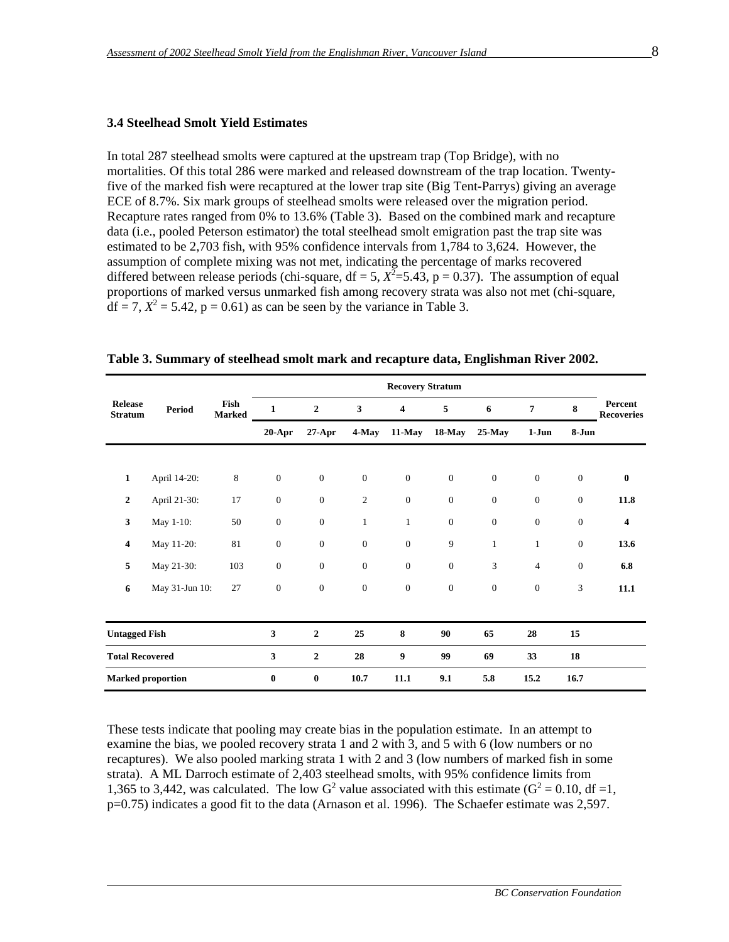#### **3.4 Steelhead Smolt Yield Estimates**

In total 287 steelhead smolts were captured at the upstream trap (Top Bridge), with no mortalities. Of this total 286 were marked and released downstream of the trap location. Twentyfive of the marked fish were recaptured at the lower trap site (Big Tent-Parrys) giving an average ECE of 8.7%. Six mark groups of steelhead smolts were released over the migration period. Recapture rates ranged from 0% to 13.6% (Table 3). Based on the combined mark and recapture data (i.e., pooled Peterson estimator) the total steelhead smolt emigration past the trap site was estimated to be 2,703 fish, with 95% confidence intervals from 1,784 to 3,624. However, the assumption of complete mixing was not met, indicating the percentage of marks recovered differed between release periods (chi-square,  $df = 5$ ,  $X^2 = 5.43$ ,  $p = 0.37$ ). The assumption of equal proportions of marked versus unmarked fish among recovery strata was also not met (chi-square,  $df = 7, X^2 = 5.42, p = 0.61$  as can be seen by the variance in Table 3.

|                                  |                          |                       | <b>Recovery Stratum</b> |                  |                         |                         |              |                  |                  |                  |                              |
|----------------------------------|--------------------------|-----------------------|-------------------------|------------------|-------------------------|-------------------------|--------------|------------------|------------------|------------------|------------------------------|
| <b>Release</b><br><b>Stratum</b> | <b>Period</b>            | Fish<br><b>Marked</b> | 1                       | $\overline{2}$   | $\overline{\mathbf{3}}$ | $\overline{\mathbf{4}}$ | 5            | 6                | 7                | 8                | Percent<br><b>Recoveries</b> |
|                                  |                          |                       | $20-Apr$                | $27$ -Apr        | 4-May                   | 11-May                  | 18-May       | $25$ -May        | $1-Jun$          | 8-Jun            |                              |
|                                  |                          |                       |                         |                  |                         |                         |              |                  |                  |                  |                              |
| 1                                | April 14-20:             | 8                     | $\mathbf{0}$            | $\mathbf{0}$     | $\boldsymbol{0}$        | $\boldsymbol{0}$        | $\mathbf{0}$ | $\boldsymbol{0}$ | $\boldsymbol{0}$ | $\boldsymbol{0}$ | $\bf{0}$                     |
| $\overline{2}$                   | April 21-30:             | 17                    | $\mathbf{0}$            | $\mathbf{0}$     | $\overline{c}$          | $\mathbf{0}$            | $\mathbf{0}$ | $\mathbf{0}$     | $\mathbf{0}$     | $\mathbf{0}$     | 11.8                         |
| 3                                | May 1-10:                | 50                    | $\mathbf{0}$            | $\mathbf{0}$     | $\mathbf{1}$            | $\mathbf{1}$            | $\mathbf{0}$ | $\boldsymbol{0}$ | $\boldsymbol{0}$ | $\mathbf{0}$     | $\overline{\mathbf{4}}$      |
| 4                                | May 11-20:               | 81                    | $\mathbf{0}$            | $\mathbf{0}$     | $\boldsymbol{0}$        | $\boldsymbol{0}$        | 9            | $\mathbf{1}$     | $\,1$            | $\mathbf{0}$     | 13.6                         |
| 5                                | May 21-30:               | 103                   | $\mathbf{0}$            | $\mathbf{0}$     | $\overline{0}$          | $\overline{0}$          | $\mathbf{0}$ | 3                | $\overline{4}$   | $\mathbf{0}$     | 6.8                          |
| 6                                | May 31-Jun 10:           | 27                    | $\mathbf{0}$            | $\mathbf{0}$     | $\boldsymbol{0}$        | $\boldsymbol{0}$        | $\mathbf{0}$ | $\mathbf{0}$     | $\boldsymbol{0}$ | 3                | 11.1                         |
|                                  |                          |                       |                         |                  |                         |                         |              |                  |                  |                  |                              |
| <b>Untagged Fish</b>             |                          |                       | 3                       | $\overline{2}$   | 25                      | 8                       | 90           | 65               | 28               | 15               |                              |
| <b>Total Recovered</b>           |                          |                       | 3                       | $\boldsymbol{2}$ | 28                      | 9                       | 99           | 69               | 33               | 18               |                              |
|                                  | <b>Marked proportion</b> |                       | $\bf{0}$                | $\bf{0}$         | 10.7                    | 11.1                    | 9.1          | 5.8              | 15.2             | 16.7             |                              |

These tests indicate that pooling may create bias in the population estimate. In an attempt to examine the bias, we pooled recovery strata 1 and 2 with 3, and 5 with 6 (low numbers or no recaptures). We also pooled marking strata 1 with 2 and 3 (low numbers of marked fish in some strata). A ML Darroch estimate of 2,403 steelhead smolts, with 95% confidence limits from 1,365 to 3,442, was calculated. The low  $G^2$  value associated with this estimate ( $G^2 = 0.10$ , df =1, p=0.75) indicates a good fit to the data (Arnason et al. 1996). The Schaefer estimate was 2,597.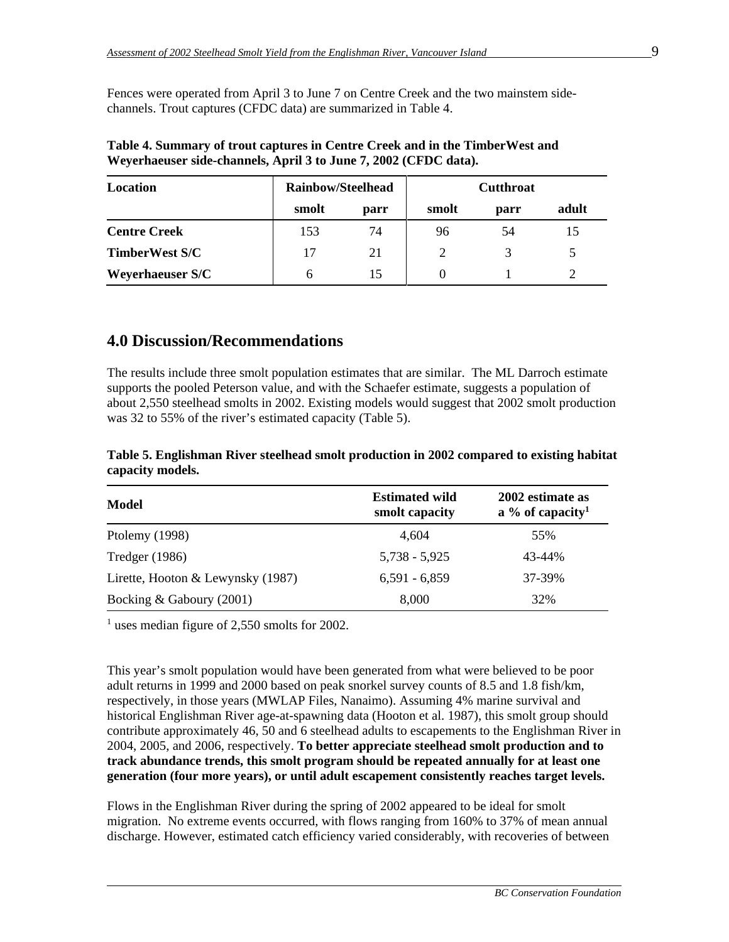Fences were operated from April 3 to June 7 on Centre Creek and the two mainstem sidechannels. Trout captures (CFDC data) are summarized in Table 4.

| Location                | <b>Rainbow/Steelhead</b> |      |       | <b>Cutthroat</b> |       |
|-------------------------|--------------------------|------|-------|------------------|-------|
|                         | smolt                    | parr | smolt | parr             | adult |
| <b>Centre Creek</b>     | 153                      | 74   | 96    | 54               |       |
| <b>TimberWest S/C</b>   | 17                       | 21   |       |                  |       |
| <b>Weyerhaeuser S/C</b> | h                        | 15   |       |                  |       |

**Table 4. Summary of trout captures in Centre Creek and in the TimberWest and Weyerhaeuser side-channels, April 3 to June 7, 2002 (CFDC data).**

### **4.0 Discussion/Recommendations**

The results include three smolt population estimates that are similar. The ML Darroch estimate supports the pooled Peterson value, and with the Schaefer estimate, suggests a population of about 2,550 steelhead smolts in 2002. Existing models would suggest that 2002 smolt production was 32 to 55% of the river's estimated capacity (Table 5).

**Table 5. Englishman River steelhead smolt production in 2002 compared to existing habitat capacity models.**

| Model                             | <b>Estimated wild</b><br>smolt capacity | 2002 estimate as<br>a % of capacity <sup>1</sup> |  |  |
|-----------------------------------|-----------------------------------------|--------------------------------------------------|--|--|
| Ptolemy (1998)                    | 4.604                                   | 55%                                              |  |  |
| Tredger (1986)                    | $5,738 - 5,925$                         | 43-44%                                           |  |  |
| Lirette, Hooton & Lewynsky (1987) | $6,591 - 6,859$                         | 37-39%                                           |  |  |
| Bocking & Gaboury (2001)          | 8,000                                   | 32%                                              |  |  |

<sup>1</sup> uses median figure of 2,550 smolts for 2002.

This year's smolt population would have been generated from what were believed to be poor adult returns in 1999 and 2000 based on peak snorkel survey counts of 8.5 and 1.8 fish/km, respectively, in those years (MWLAP Files, Nanaimo). Assuming 4% marine survival and historical Englishman River age-at-spawning data (Hooton et al. 1987), this smolt group should contribute approximately 46, 50 and 6 steelhead adults to escapements to the Englishman River in 2004, 2005, and 2006, respectively. **To better appreciate steelhead smolt production and to track abundance trends, this smolt program should be repeated annually for at least one generation (four more years), or until adult escapement consistently reaches target levels.**

Flows in the Englishman River during the spring of 2002 appeared to be ideal for smolt migration. No extreme events occurred, with flows ranging from 160% to 37% of mean annual discharge. However, estimated catch efficiency varied considerably, with recoveries of between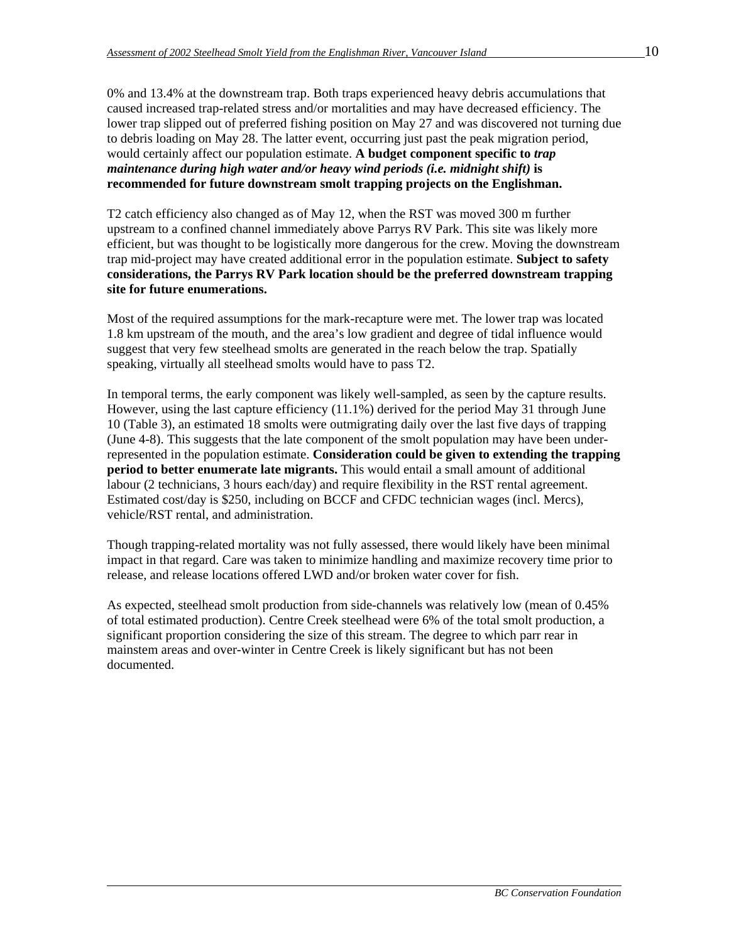0% and 13.4% at the downstream trap. Both traps experienced heavy debris accumulations that caused increased trap-related stress and/or mortalities and may have decreased efficiency. The lower trap slipped out of preferred fishing position on May 27 and was discovered not turning due to debris loading on May 28. The latter event, occurring just past the peak migration period, would certainly affect our population estimate. **A budget component specific to** *trap maintenance during high water and/or heavy wind periods (i.e. midnight shift)* **is recommended for future downstream smolt trapping projects on the Englishman.**

T2 catch efficiency also changed as of May 12, when the RST was moved 300 m further upstream to a confined channel immediately above Parrys RV Park. This site was likely more efficient, but was thought to be logistically more dangerous for the crew. Moving the downstream trap mid-project may have created additional error in the population estimate. **Subject to safety considerations, the Parrys RV Park location should be the preferred downstream trapping site for future enumerations.** 

Most of the required assumptions for the mark-recapture were met. The lower trap was located 1.8 km upstream of the mouth, and the area's low gradient and degree of tidal influence would suggest that very few steelhead smolts are generated in the reach below the trap. Spatially speaking, virtually all steelhead smolts would have to pass T2.

In temporal terms, the early component was likely well-sampled, as seen by the capture results. However, using the last capture efficiency (11.1%) derived for the period May 31 through June 10 (Table 3), an estimated 18 smolts were outmigrating daily over the last five days of trapping (June 4-8). This suggests that the late component of the smolt population may have been underrepresented in the population estimate. **Consideration could be given to extending the trapping period to better enumerate late migrants.** This would entail a small amount of additional labour (2 technicians, 3 hours each/day) and require flexibility in the RST rental agreement. Estimated cost/day is \$250, including on BCCF and CFDC technician wages (incl. Mercs), vehicle/RST rental, and administration.

Though trapping-related mortality was not fully assessed, there would likely have been minimal impact in that regard. Care was taken to minimize handling and maximize recovery time prior to release, and release locations offered LWD and/or broken water cover for fish.

As expected, steelhead smolt production from side-channels was relatively low (mean of 0.45% of total estimated production). Centre Creek steelhead were 6% of the total smolt production, a significant proportion considering the size of this stream. The degree to which parr rear in mainstem areas and over-winter in Centre Creek is likely significant but has not been documented.